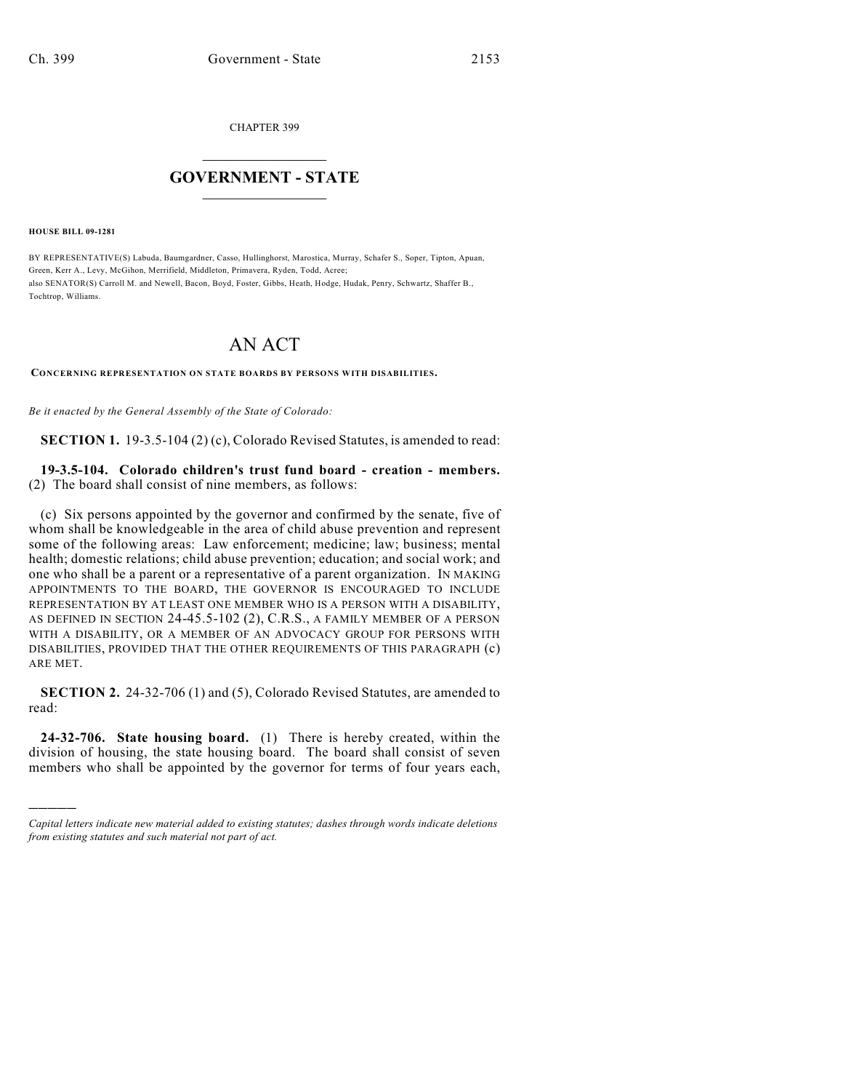CHAPTER 399

## $\mathcal{L}_\text{max}$  . The set of the set of the set of the set of the set of the set of the set of the set of the set of the set of the set of the set of the set of the set of the set of the set of the set of the set of the set **GOVERNMENT - STATE**  $\_$   $\_$   $\_$   $\_$   $\_$   $\_$   $\_$   $\_$

**HOUSE BILL 09-1281**

)))))

BY REPRESENTATIVE(S) Labuda, Baumgardner, Casso, Hullinghorst, Marostica, Murray, Schafer S., Soper, Tipton, Apuan, Green, Kerr A., Levy, McGihon, Merrifield, Middleton, Primavera, Ryden, Todd, Acree; also SENATOR(S) Carroll M. and Newell, Bacon, Boyd, Foster, Gibbs, Heath, Hodge, Hudak, Penry, Schwartz, Shaffer B., Tochtrop, Williams.

## AN ACT

**CONCERNING REPRESENTATION ON STATE BOARDS BY PERSONS WITH DISABILITIES.**

*Be it enacted by the General Assembly of the State of Colorado:*

**SECTION 1.** 19-3.5-104 (2) (c), Colorado Revised Statutes, is amended to read:

**19-3.5-104. Colorado children's trust fund board - creation - members.** (2) The board shall consist of nine members, as follows:

(c) Six persons appointed by the governor and confirmed by the senate, five of whom shall be knowledgeable in the area of child abuse prevention and represent some of the following areas: Law enforcement; medicine; law; business; mental health; domestic relations; child abuse prevention; education; and social work; and one who shall be a parent or a representative of a parent organization. IN MAKING APPOINTMENTS TO THE BOARD, THE GOVERNOR IS ENCOURAGED TO INCLUDE REPRESENTATION BY AT LEAST ONE MEMBER WHO IS A PERSON WITH A DISABILITY, AS DEFINED IN SECTION 24-45.5-102 (2), C.R.S., A FAMILY MEMBER OF A PERSON WITH A DISABILITY, OR A MEMBER OF AN ADVOCACY GROUP FOR PERSONS WITH DISABILITIES, PROVIDED THAT THE OTHER REQUIREMENTS OF THIS PARAGRAPH (c) ARE MET.

**SECTION 2.** 24-32-706 (1) and (5), Colorado Revised Statutes, are amended to read:

**24-32-706. State housing board.** (1) There is hereby created, within the division of housing, the state housing board. The board shall consist of seven members who shall be appointed by the governor for terms of four years each,

*Capital letters indicate new material added to existing statutes; dashes through words indicate deletions from existing statutes and such material not part of act.*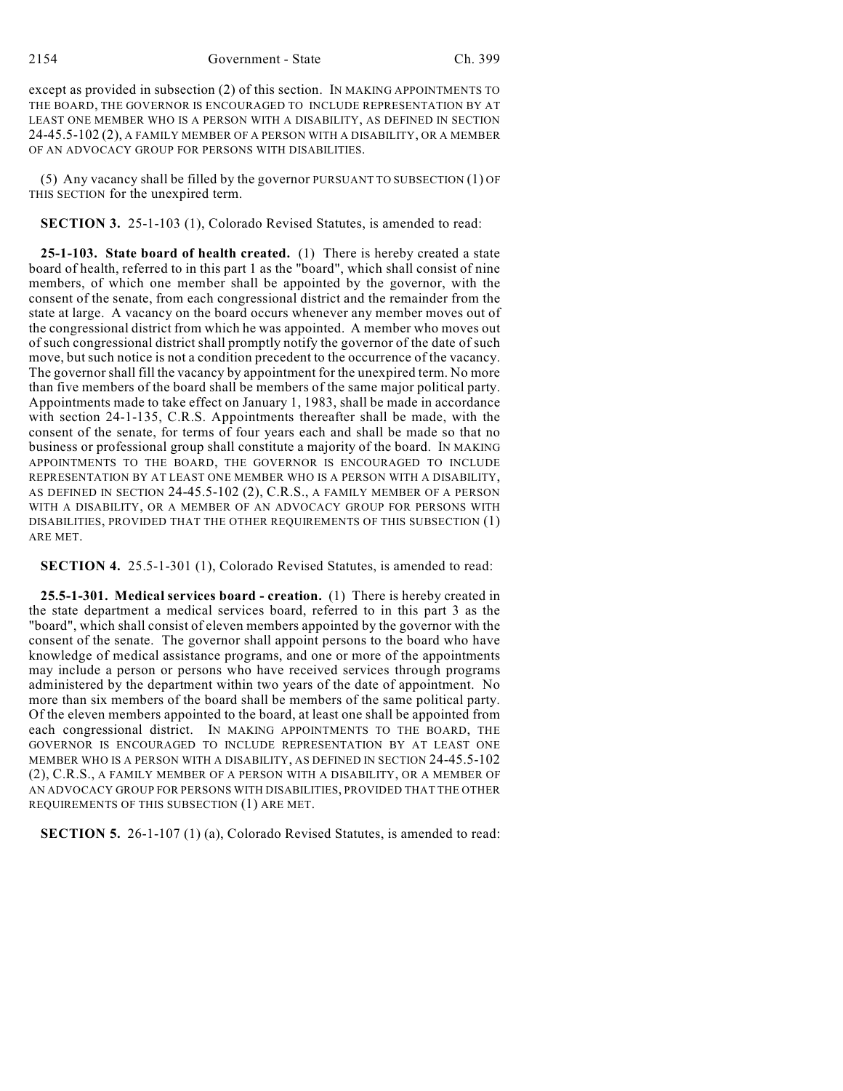2154 Government - State Ch. 399

except as provided in subsection (2) of this section. IN MAKING APPOINTMENTS TO THE BOARD, THE GOVERNOR IS ENCOURAGED TO INCLUDE REPRESENTATION BY AT LEAST ONE MEMBER WHO IS A PERSON WITH A DISABILITY, AS DEFINED IN SECTION 24-45.5-102 (2), A FAMILY MEMBER OF A PERSON WITH A DISABILITY, OR A MEMBER OF AN ADVOCACY GROUP FOR PERSONS WITH DISABILITIES.

(5) Any vacancy shall be filled by the governor PURSUANT TO SUBSECTION (1) OF THIS SECTION for the unexpired term.

**SECTION 3.** 25-1-103 (1), Colorado Revised Statutes, is amended to read:

**25-1-103. State board of health created.** (1) There is hereby created a state board of health, referred to in this part 1 as the "board", which shall consist of nine members, of which one member shall be appointed by the governor, with the consent of the senate, from each congressional district and the remainder from the state at large. A vacancy on the board occurs whenever any member moves out of the congressional district from which he was appointed. A member who moves out of such congressional district shall promptly notify the governor of the date of such move, but such notice is not a condition precedent to the occurrence of the vacancy. The governor shall fill the vacancy by appointment for the unexpired term. No more than five members of the board shall be members of the same major political party. Appointments made to take effect on January 1, 1983, shall be made in accordance with section 24-1-135, C.R.S. Appointments thereafter shall be made, with the consent of the senate, for terms of four years each and shall be made so that no business or professional group shall constitute a majority of the board. IN MAKING APPOINTMENTS TO THE BOARD, THE GOVERNOR IS ENCOURAGED TO INCLUDE REPRESENTATION BY AT LEAST ONE MEMBER WHO IS A PERSON WITH A DISABILITY, AS DEFINED IN SECTION 24-45.5-102 (2), C.R.S., A FAMILY MEMBER OF A PERSON WITH A DISABILITY, OR A MEMBER OF AN ADVOCACY GROUP FOR PERSONS WITH DISABILITIES, PROVIDED THAT THE OTHER REQUIREMENTS OF THIS SUBSECTION (1) ARE MET.

**SECTION 4.** 25.5-1-301 (1), Colorado Revised Statutes, is amended to read:

**25.5-1-301. Medical services board - creation.** (1) There is hereby created in the state department a medical services board, referred to in this part 3 as the "board", which shall consist of eleven members appointed by the governor with the consent of the senate. The governor shall appoint persons to the board who have knowledge of medical assistance programs, and one or more of the appointments may include a person or persons who have received services through programs administered by the department within two years of the date of appointment. No more than six members of the board shall be members of the same political party. Of the eleven members appointed to the board, at least one shall be appointed from each congressional district. IN MAKING APPOINTMENTS TO THE BOARD, THE GOVERNOR IS ENCOURAGED TO INCLUDE REPRESENTATION BY AT LEAST ONE MEMBER WHO IS A PERSON WITH A DISABILITY, AS DEFINED IN SECTION 24-45.5-102 (2), C.R.S., A FAMILY MEMBER OF A PERSON WITH A DISABILITY, OR A MEMBER OF AN ADVOCACY GROUP FOR PERSONS WITH DISABILITIES, PROVIDED THAT THE OTHER REQUIREMENTS OF THIS SUBSECTION (1) ARE MET.

**SECTION 5.** 26-1-107 (1) (a), Colorado Revised Statutes, is amended to read: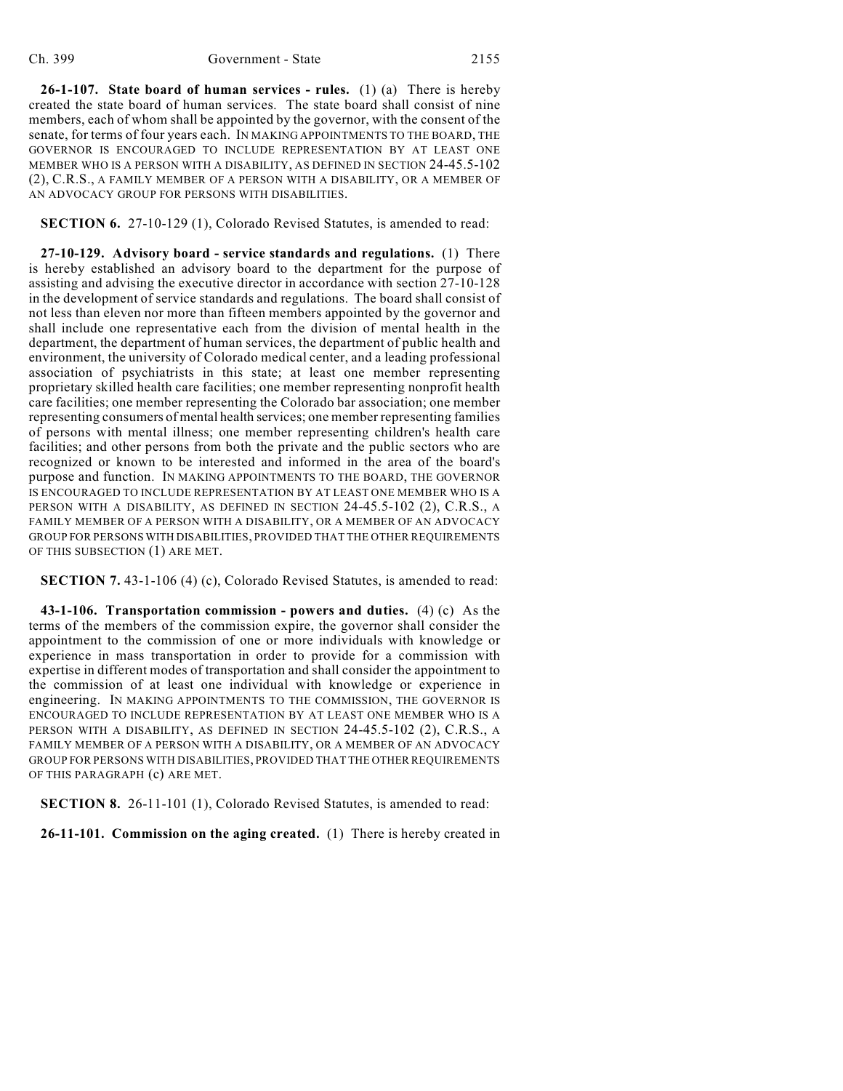**26-1-107. State board of human services - rules.** (1) (a) There is hereby created the state board of human services. The state board shall consist of nine members, each of whom shall be appointed by the governor, with the consent of the senate, for terms of four years each. IN MAKING APPOINTMENTS TO THE BOARD, THE GOVERNOR IS ENCOURAGED TO INCLUDE REPRESENTATION BY AT LEAST ONE MEMBER WHO IS A PERSON WITH A DISABILITY, AS DEFINED IN SECTION 24-45.5-102 (2), C.R.S., A FAMILY MEMBER OF A PERSON WITH A DISABILITY, OR A MEMBER OF AN ADVOCACY GROUP FOR PERSONS WITH DISABILITIES.

**SECTION 6.** 27-10-129 (1), Colorado Revised Statutes, is amended to read:

**27-10-129. Advisory board - service standards and regulations.** (1) There is hereby established an advisory board to the department for the purpose of assisting and advising the executive director in accordance with section 27-10-128 in the development of service standards and regulations. The board shall consist of not less than eleven nor more than fifteen members appointed by the governor and shall include one representative each from the division of mental health in the department, the department of human services, the department of public health and environment, the university of Colorado medical center, and a leading professional association of psychiatrists in this state; at least one member representing proprietary skilled health care facilities; one member representing nonprofit health care facilities; one member representing the Colorado bar association; one member representing consumers of mental health services; one member representing families of persons with mental illness; one member representing children's health care facilities; and other persons from both the private and the public sectors who are recognized or known to be interested and informed in the area of the board's purpose and function. IN MAKING APPOINTMENTS TO THE BOARD, THE GOVERNOR IS ENCOURAGED TO INCLUDE REPRESENTATION BY AT LEAST ONE MEMBER WHO IS A PERSON WITH A DISABILITY, AS DEFINED IN SECTION 24-45.5-102 (2), C.R.S., A FAMILY MEMBER OF A PERSON WITH A DISABILITY, OR A MEMBER OF AN ADVOCACY GROUP FOR PERSONS WITH DISABILITIES, PROVIDED THAT THE OTHER REQUIREMENTS OF THIS SUBSECTION (1) ARE MET.

**SECTION 7.** 43-1-106 (4) (c), Colorado Revised Statutes, is amended to read:

**43-1-106. Transportation commission - powers and duties.** (4) (c) As the terms of the members of the commission expire, the governor shall consider the appointment to the commission of one or more individuals with knowledge or experience in mass transportation in order to provide for a commission with expertise in different modes of transportation and shall consider the appointment to the commission of at least one individual with knowledge or experience in engineering. IN MAKING APPOINTMENTS TO THE COMMISSION, THE GOVERNOR IS ENCOURAGED TO INCLUDE REPRESENTATION BY AT LEAST ONE MEMBER WHO IS A PERSON WITH A DISABILITY, AS DEFINED IN SECTION 24-45.5-102 (2), C.R.S., A FAMILY MEMBER OF A PERSON WITH A DISABILITY, OR A MEMBER OF AN ADVOCACY GROUP FOR PERSONS WITH DISABILITIES, PROVIDED THAT THE OTHER REQUIREMENTS OF THIS PARAGRAPH (c) ARE MET.

**SECTION 8.** 26-11-101 (1), Colorado Revised Statutes, is amended to read:

**26-11-101. Commission on the aging created.** (1) There is hereby created in